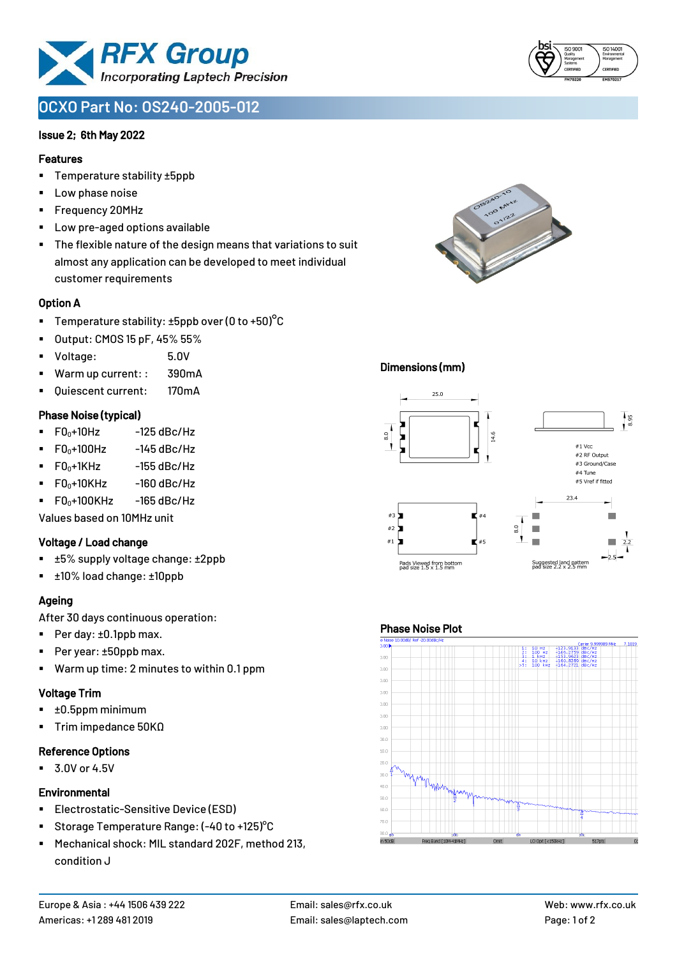

# **OCXO Part No: OS240-2005-012**

#### Issue 2; 6th May 2022

#### Features

- Temperature stability ±5ppb
- Low phase noise
- Frequency 20MHz
- Low pre-aged options available
- The flexible nature of the design means that variations to suit almost any application can be developed to meet individual customer requirements

#### Option A

- **•** Temperature stability:  $\pm 5$ ppb over (0 to  $+50$ )<sup>o</sup>C
- Output: CMOS 15 pF, 45% 55%
- Voltage: 5.0V
- Warm up current: : 390mA
- Quiescent current: 170mA

#### Phase Noise (typical)

- $\blacksquare$  F0 $\scriptstyle\bullet$ +10Hz -125 dBc/Hz
- $F0_0+100$ Hz  $-145$  dBc/Hz
- $F0_0+1$ KHz  $-155$  dBc/Hz
- $\blacksquare$  F0 $_0$ +10KHz -160 dBc/Hz
- $\blacksquare$  F0 $\scriptstyle\bullet$ +100KHz -165 dBc/Hz

Values based on 10MHz unit

#### Voltage / Load change

- ±5% supply voltage change: ±2ppb
- ±10% load change: ±10ppb

## Ageing

After 30 days continuous operation:

- Per day: ±0.1ppb max.
- Per year: ±50ppb max.
- Warm up time: 2 minutes to within 0.1 ppm

#### Voltage Trim

- $\blacksquare$   $\pm 0.5$ ppm minimum
- Trim impedance 50KΩ

#### Reference Options

 $\blacksquare$  3.0V or 4.5V

#### **Environmental**

- **Electrostatic-Sensitive Device (ESD)**
- Storage Temperature Range: (-40 to +125)°C
- Mechanical shock: MIL standard 202F, method 213, condition J





#### Dimensions (mm)



#### Phase Noise Plot